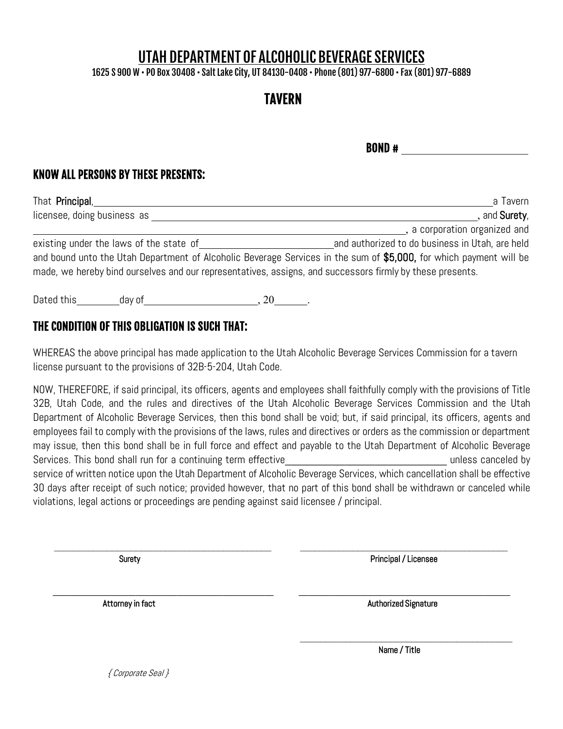# UTAH DEPARTMENT OF ALCOHOLIC BEVERAGE SERVICES

1625 S 900 W • PO Box 30408 • SaltLake City, UT 84130-0408 • Phone (801) 977-6800 • Fax (801) 977-6889

## TAVERN

 $BOND +$ 

#### KNOW ALL PERSONS BY THESE PRESENTS:

| That <b>Principal</b> ,                                                                                   | a Tavern                                                                                                           |
|-----------------------------------------------------------------------------------------------------------|--------------------------------------------------------------------------------------------------------------------|
| licensee, doing business as                                                                               | , and <b>Surety</b> ,                                                                                              |
|                                                                                                           | , a corporation organized and                                                                                      |
| existing under the laws of the state of                                                                   | and authorized to do business in Utah, are held                                                                    |
|                                                                                                           | and bound unto the Utah Department of Alcoholic Beverage Services in the sum of \$5,000, for which payment will be |
| made, we hereby bind ourselves and our representatives, assigns, and successors firmly by these presents. |                                                                                                                    |
|                                                                                                           |                                                                                                                    |

Dated this day of the set of the set of the set of the set of the set of the set of the set of the set of the s

### THE CONDITION OF THIS OBLIGATION IS SUCH THAT:

WHEREAS the above principal has made application to the Utah Alcoholic Beverage Services Commission for a tavern license pursuant to the provisions of 32B-5-204, Utah Code.

NOW, THEREFORE, if said principal, its officers, agents and employees shall faithfully comply with the provisions of Title 32B, Utah Code, and the rules and directives of the Utah Alcoholic Beverage Services Commission and the Utah Department of Alcoholic Beverage Services, then this bond shall be void; but, if said principal, its officers, agents and employees fail to comply with the provisions of the laws, rules and directives or orders as the commission or department may issue, then this bond shall be in full force and effect and payable to the Utah Department of Alcoholic Beverage Services. This bond shall run for a continuing term effective the state of the state of the state of the state of the state of the state of the state of the state of the state of the state of the state of the state of the service of written notice upon the Utah Department of Alcoholic Beverage Services, which cancellation shall be effective 30 days after receipt of such notice; provided however, that no part of this bond shall be withdrawn or canceled while violations, legal actions or proceedings are pending against said licensee / principal.

\_\_\_\_\_\_\_\_\_\_\_\_\_\_\_\_\_\_\_\_\_\_\_\_\_\_\_\_\_\_\_\_\_\_\_\_\_\_\_\_\_\_\_\_\_ \_\_\_\_\_\_\_\_\_\_\_\_\_\_\_\_\_\_\_\_\_\_\_\_\_\_\_\_\_\_\_\_\_\_\_\_\_\_\_\_\_\_\_

 **\_\_\_\_\_\_\_\_\_\_\_\_\_\_\_\_\_\_\_\_\_\_\_\_\_\_\_\_\_\_\_\_\_\_\_\_\_\_\_\_\_\_\_\_\_\_\_\_ \_\_\_\_\_\_\_\_\_\_\_\_\_\_\_\_\_\_\_\_\_\_\_\_\_\_\_\_\_\_\_\_\_\_\_\_\_\_\_\_\_\_\_\_\_\_**

\_\_\_\_\_\_\_\_\_\_\_\_\_\_\_\_\_\_\_\_\_\_\_\_\_\_\_\_\_\_\_\_\_\_\_\_\_\_\_\_\_\_

SuretyPrincipal / Licensee

Attorney in factAuthorized Signature

Name / Title

{ Corporate Seal }